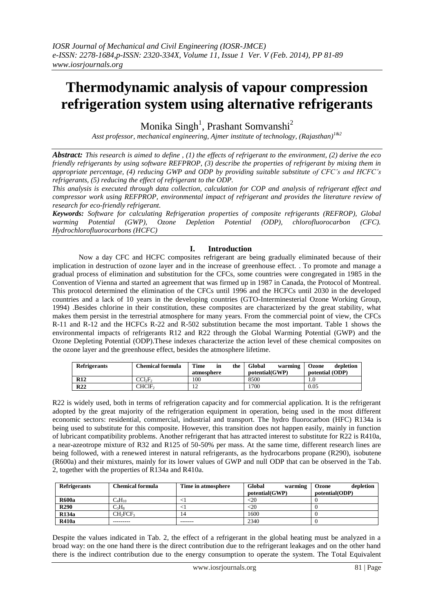# **Thermodynamic analysis of vapour compression refrigeration system using alternative refrigerants**

Monika Singh<sup>1</sup>, Prashant Somvanshi<sup>2</sup>

*Asst professor, mechanical engineering, Ajmer institute of technology, (Rajasthan)1&2*

*Abstract: This research is aimed to define , (1) the effects of refrigerant to the environment, (2) derive the eco friendly refrigerants by using software REFPROP, (3) describe the properties of refrigerant by mixing them in appropriate percentage, (4) reducing GWP and ODP by providing suitable substitute of CFC's and HCFC's refrigerants, (5) reducing the effect of refrigerant to the ODP.*

*This analysis is executed through data collection, calculation for COP and analysis of refrigerant effect and compressor work using REFPROP, environmental impact of refrigerant and provides the literature review of research for eco-friendly refrigerant.*

*Keywords: Software for calculating Refrigeration properties of composite refrigerants (REFROP), Global warming Potential (GWP), Ozone Depletion Potential (ODP), chlorofluorocarbon (CFC). Hydrochlorofluorocarbons (HCFC)*

# **I. Introduction**

Now a day CFC and HCFC composites refrigerant are being gradually eliminated because of their implication in destruction of ozone layer and in the increase of greenhouse effect. . To promote and manage a gradual process of elimination and substitution for the CFCs, some countries were congregated in 1985 in the Convention of Vienna and started an agreement that was firmed up in 1987 in Canada, the Protocol of Montreal. This protocol determined the elimination of the CFCs until 1996 and the HCFCs until 2030 in the developed countries and a lack of 10 years in the developing countries (GTO-Interminesterial Ozone Working Group, 1994) .Besides chlorine in their constitution, these composites are characterized by the great stability, what makes them persist in the terrestrial atmosphere for many years. From the commercial point of view, the CFCs R-11 and R-12 and the HCFCs R-22 and R-502 substitution became the most important. Table 1 shows the environmental impacts of refrigerants R12 and R22 through the Global Warming Potential (GWP) and the Ozone Depleting Potential (ODP).These indexes characterize the action level of these chemical composites on the ozone layer and the greenhouse effect, besides the atmosphere lifetime.

| <b>Refrigerants</b> | <b>Chemical formula</b> | Time<br>the<br>în<br>atmosphere | Global<br>warming<br>potential(GWP) | depletion<br>Ozone<br>potential (ODP) |
|---------------------|-------------------------|---------------------------------|-------------------------------------|---------------------------------------|
| <b>R12</b>          | CCl2F2                  | 100                             | 8500                                | IJ.                                   |
| R <sub>22</sub>     | CHCIF,                  | ∸                               | 1700                                | 0.05                                  |

R22 is widely used, both in terms of refrigeration capacity and for commercial application. It is the refrigerant adopted by the great majority of the refrigeration equipment in operation, being used in the most different economic sectors: residential, commercial, industrial and transport. The hydro fluorocarbon (HFC) R134a is being used to substitute for this composite. However, this transition does not happen easily, mainly in function of lubricant compatibility problems. Another refrigerant that has attracted interest to substitute for R22 is R410a, a near-azeotrope mixture of R32 and R125 of 50-50% per mass. At the same time, different research lines are being followed, with a renewed interest in natural refrigerants, as the hydrocarbons propane (R290), isobutene (R600a) and their mixtures, mainly for its lower values of GWP and null ODP that can be observed in the Tab. 2, together with the properties of R134a and R410a.

| <b>Refrigerants</b> | <b>Chemical formula</b>          | Time in atmosphere | Global<br>warming | depletion<br>Ozone |
|---------------------|----------------------------------|--------------------|-------------------|--------------------|
|                     |                                  |                    | potential(GWP)    | potential(ODP)     |
| <b>R600a</b>        | $C_4H_{10}$                      |                    | $<$ 20            |                    |
| <b>R290</b>         | $C_3H_8$                         |                    | $<$ 20            |                    |
| <b>R134a</b>        | CH <sub>2</sub> FCF <sub>3</sub> | 4                  | 1600              |                    |
| <b>R410a</b>        | ---------                        | -------            | 2340              |                    |

Despite the values indicated in Tab. 2, the effect of a refrigerant in the global heating must be analyzed in a broad way: on the one hand there is the direct contribution due to the refrigerant leakages and on the other hand there is the indirect contribution due to the energy consumption to operate the system. The Total Equivalent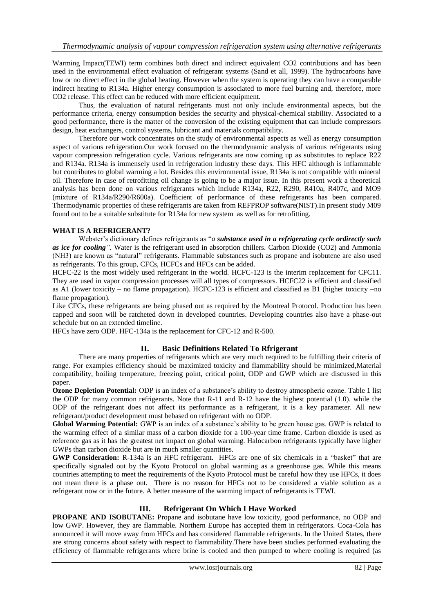Warming Impact(TEWI) term combines both direct and indirect equivalent CO2 contributions and has been used in the environmental effect evaluation of refrigerant systems (Sand et all, 1999). The hydrocarbons have low or no direct effect in the global heating. However when the system is operating they can have a comparable indirect heating to R134a. Higher energy consumption is associated to more fuel burning and, therefore, more CO2 release. This effect can be reduced with more efficient equipment.

Thus, the evaluation of natural refrigerants must not only include environmental aspects, but the performance criteria, energy consumption besides the security and physical-chemical stability. Associated to a good performance, there is the matter of the conversion of the existing equipment that can include compressors design, heat exchangers, control systems, lubricant and materials compatibility.

Therefore our work concentrates on the study of environmental aspects as well as energy consumption aspect of various refrigeration.Our work focused on the thermodynamic analysis of various refrigerants using vapour compression refrigeration cycle. Various refrigerants are now coming up as substitutes to replace R22 and R134a. R134a is immensely used in refrigeration industry these days. This HFC although is inflammable but contributes to global warming a lot. Besides this environmental issue, R134a is not compatible with mineral oil. Therefore in case of retrofitting oil change is going to be a major issue. In this present work a theoretical analysis has been done on various refrigerants which include R134a, R22, R290, R410a, R407c, and MO9 (mixture of R134a/R290/R600a). Coefficient of performance of these refrigerants has been compared. Thermodynamic properties of these refrigerants are taken from REFPROP software(NIST).In present study M09 found out to be a suitable substitute for R134a for new system as well as for retrofitting.

## **WHAT IS A REFRIGERANT?**

Webster's dictionary defines refrigerants as "*a substance used in a refrigerating cycle ordirectly such as ice for cooling".* Water is the refrigerant used in absorption chillers. Carbon Dioxide (CO2) and Ammonia (NH3) are known as "natural" refrigerants. Flammable substances such as propane and isobutene are also used as refrigerants. To this group, CFCs, HCFCs and HFCs can be added.

HCFC-22 is the most widely used refrigerant in the world. HCFC-123 is the interim replacement for CFC11. They are used in vapor compression processes will all types of compressors. HCFC22 is efficient and classified as A1 (lower toxicity – no flame propagation). HCFC-123 is efficient and classified as B1 (higher toxicity –no flame propagation).

Like CFCs, these refrigerants are being phased out as required by the Montreal Protocol. Production has been capped and soon will be ratcheted down in developed countries. Developing countries also have a phase-out schedule but on an extended timeline.

HFCs have zero ODP. HFC-134a is the replacement for CFC-12 and R-500.

## **II. Basic Definitions Related To Rfrigerant**

There are many properties of refrigerants which are very much required to be fulfilling their criteria of range. For examples efficiency should be maximized toxicity and flammability should be minimized,Material compatibility, boiling temperature, freezing point, critical point, ODP and GWP which are discussed in this paper.

**Ozone Depletion Potential:** ODP is an index of a substance's ability to destroy atmospheric ozone. Table 1 list the ODP for many common refrigerants. Note that R-11 and R-12 have the highest potential (1.0). while the ODP of the refrigerant does not affect its performance as a refrigerant, it is a key parameter. All new refrigerant/product development must bebased on refrigerant with no ODP.

**Global Warming Potential:** GWP is an index of a substance's ability to be green house gas. GWP is related to the warming effect of a similar mass of a carbon dioxide for a 100-year time frame. Carbon dioxide is used as reference gas as it has the greatest net impact on global warming. Halocarbon refrigerants typically have higher GWPs than carbon dioxide but are in much smaller quantities.

**GWP Consideration:** R-134a is an HFC refrigerant. HFCs are one of six chemicals in a "basket" that are specifically signaled out by the Kyoto Protocol on global warming as a greenhouse gas. While this means countries attempting to meet the requirements of the Kyoto Protocol must be careful how they use HFCs, it does not mean there is a phase out. There is no reason for HFCs not to be considered a viable solution as a refrigerant now or in the future. A better measure of the warming impact of refrigerants is TEWI.

# **III. Refrigerant On Which I Have Worked**

**PROPANE AND ISOBUTANE:** Propane and isobutane have low toxicity, good performance, no ODP and low GWP. However, they are flammable. Northern Europe has accepted them in refrigerators. Coca-Cola has announced it will move away from HFCs and has considered flammable refrigerants. In the United States, there are strong concerns about safety with respect to flammability.There have been studies performed evaluating the efficiency of flammable refrigerants where brine is cooled and then pumped to where cooling is required (as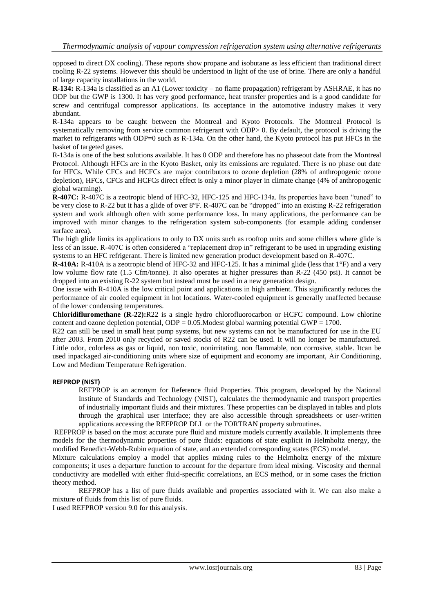opposed to direct DX cooling). These reports show propane and isobutane as less efficient than traditional direct cooling R-22 systems. However this should be understood in light of the use of brine. There are only a handful of large capacity installations in the world.

**R-134:** R-134a is classified as an A1 (Lower toxicity – no flame propagation) refrigerant by ASHRAE, it has no ODP but the GWP is 1300. It has very good performance, heat transfer properties and is a good candidate for screw and centrifugal compressor applications. Its acceptance in the automotive industry makes it very abundant.

R-134a appears to be caught between the Montreal and Kyoto Protocols. The Montreal Protocol is systematically removing from service common refrigerant with ODP> 0. By default, the protocol is driving the market to refrigerants with ODP=0 such as R-134a. On the other hand, the Kyoto protocol has put HFCs in the basket of targeted gases.

R-134a is one of the best solutions available. It has 0 ODP and therefore has no phaseout date from the Montreal Protocol. Although HFCs are in the Kyoto Basket, only its emissions are regulated. There is no phase out date for HFCs. While CFCs and HCFCs are major contributors to ozone depletion (28% of anthropogenic ozone depletion), HFCs, CFCs and HCFCs direct effect is only a minor player in climate change (4% of anthropogenic global warming).

**R-407C:** R-407C is a zeotropic blend of HFC-32, HFC-125 and HFC-134a. Its properties have been "tuned" to be very close to R-22 but it has a glide of over 8°F. R-407C can be "dropped" into an existing R-22 refrigeration system and work although often with some performance loss. In many applications, the performance can be improved with minor changes to the refrigeration system sub-components (for example adding condenser surface area).

The high glide limits its applications to only to DX units such as rooftop units and some chillers where glide is less of an issue. R-407C is often considered a "replacement drop in" refrigerant to be used in upgrading existing systems to an HFC refrigerant. There is limited new generation product development based on R-407C.

**R-410A:** R-410A is a zeotropic blend of HFC-32 and HFC-125. It has a minimal glide (less that 1°F) and a very low volume flow rate (1.5 Cfm/tonne). It also operates at higher pressures than R-22 (450 psi). It cannot be dropped into an existing R-22 system but instead must be used in a new generation design.

One issue with R-410A is the low critical point and applications in high ambient. This significantly reduces the performance of air cooled equipment in hot locations. Water-cooled equipment is generally unaffected because of the lower condensing temperatures.

**Chloridifluromethane (R-22):**R22 is a single hydro chlorofluorocarbon or HCFC compound. Low chlorine content and ozone depletion potential, ODP = 0.05*.*Modest global warming potential GWP = 1700.

R22 can still be used in small heat pump systems, but new systems can not be manufactured for use in the EU after 2003. From 2010 only recycled or saved stocks of R22 can be used. It will no longer be manufactured. Little odor, colorless as gas or liquid, non toxic, nonirritating, non flammable, non corrosive, stable. Itcan be used inpackaged air-conditioning units where size of equipment and economy are important, Air Conditioning, Low and Medium Temperature Refrigeration.

### **REFPROP (NIST)**

REFPROP is an acronym for Reference fluid Properties. This program, developed by the National Institute of Standards and Technology (NIST), calculates the thermodynamic and transport properties of industrially important fluids and their mixtures. These properties can be displayed in tables and plots through the graphical user interface; they are also accessible through spreadsheets or user-written applications accessing the REFPROP DLL or the FORTRAN property subroutines.

REFPROP is based on the most accurate pure fluid and mixture models currently available. It implements three models for the thermodynamic properties of pure fluids: equations of state explicit in Helmholtz energy, the modified Benedict-Webb-Rubin equation of state, and an extended corresponding states (ECS) model.

Mixture calculations employ a model that applies mixing rules to the Helmholtz energy of the mixture components; it uses a departure function to account for the departure from ideal mixing. Viscosity and thermal conductivity are modelled with either fluid-specific correlations, an ECS method, or in some cases the friction theory method.

REFPROP has a list of pure fluids available and properties associated with it. We can also make a mixture of fluids from this list of pure fluids.

I used REFPROP version 9.0 for this analysis.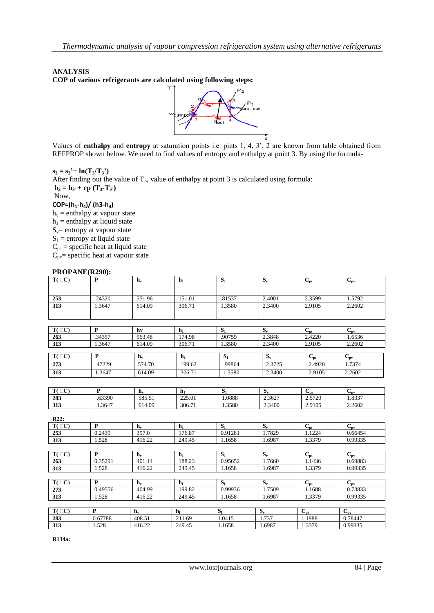## **ANALYSIS**

**COP of various refrigerants are calculated using following steps:**



Values of **enthalpy** and **entropy** at saturation points i.e. pints 1, 4, 3', 2 are known from table obtained from REFPROP shown below. We need to find values of entropy and enthalpy at point 3. By using the formula-

 $s_3 = s_3' + \ln(T_3/T_3')$ 

After finding out the value of  $T_3$ , value of enthalpy at point 3 is calculated using formula:  $h_3 = h_3$  **+ cp**  $(T_3 - T_3)$ Now,

# **COP=(h1-h4)/ (h3-h4)**

 $h_v$  = enthalpy at vapour state  $h_1$  = enthalpy at liquid state  $S_v$ = entropy at vapour state  $S_1$  = entropy at liquid state  $C_{ps}$  = specific heat at liquid state  $\dot{C}_{pv}$ = specific heat at vapour state

### **PROPANE(R290):**

| $T(\Box C)$      | $\mathbf{P}$   | $\mathbf{h}_{\mathbf{v}}$ | $\mathbf{h}_1$            | $S_1$            | $S_{v}$ | $C_{ps}$                            | $C_{pv}$                            |
|------------------|----------------|---------------------------|---------------------------|------------------|---------|-------------------------------------|-------------------------------------|
| 253              | .24320         | 551.96                    | 151.01                    | .81537           | 2.4001  | 2.3599                              | 1.5792                              |
| 313              | 1.3647         | 614.09                    | 306.71                    | 1.3580           | 2.3400  | 2.9105                              | 2.2602                              |
|                  |                |                           |                           |                  |         |                                     |                                     |
| $T(\Box C)$      | $\mathbf{P}$   | hv                        | $h_1$                     | $S_1$            | $S_v$   | $C_{ps}$                            | $C_{pv}$                            |
| 263              | .34357         | 563.48                    | 174.98                    | .90759           | 2.3848  | 2.4220                              | 1.6536                              |
| 313              | 1.3647         | 614.09                    | 306.71                    | 1.3580           | 2.3400  | 2.9105                              | 2.2602                              |
| $T(\Box C)$      | $\mathbf{P}$   | $\mathbf{h}_{\mathbf{v}}$ | $h_1$                     | $\overline{S_1}$ | $S_v$   | $\mathbf{C}_{\mathbf{p}\mathbf{s}}$ | $\mathbf{C}_{\mathbf{p}\mathbf{v}}$ |
| 273              | .47229         | 574.70                    | 199.62                    | .99864           | 2.3725  | 2.4920                              | 1.7374                              |
| $\overline{313}$ | 1.3647         | 614.09                    | 306.71                    | 1.3580           | 2.3400  | 2.9105                              | 2.2602                              |
|                  |                |                           |                           |                  |         |                                     |                                     |
| $T(\Box C)$      | $\mathbf{P}$   | $\mathbf{h}_{\mathbf{v}}$ | $\mathbf{h}_1$            | $S_1$            | $S_v$   | $C_{\rm ps}$                        | $C_{pv}$                            |
| 283              | .63390         | 585.51                    | 225.01                    | 1.0888           | 2.3627  | 2.5720                              | 1.8337                              |
| 313              | 1.3647         | 614.09                    | 306.71                    | 1.3580           | 2.3400  | 2.9105                              | 2.2602                              |
| R22:             |                |                           |                           |                  |         |                                     |                                     |
| $T(\Box C)$      | $\mathbf{P}$   | $\mathbf{h}_{\mathbf{v}}$ | $\mathbf{h}_1$            | S <sub>1</sub>   | $S_v$   | $\overline{C}_{ps}$                 | $C_{pv}$                            |
| 253              | 0.2439         | 397.0                     | 176.87                    | 0.91281          | 1.7829  | 1.1224                              | 0.66454                             |
| 313              | 1.528          | 416.22                    | 249.45                    | 1.1658           | 1.6987  | 1.3379                              | 0.99335                             |
|                  |                |                           |                           |                  |         |                                     |                                     |
| $T(\Box C)$      | $\overline{P}$ | $\mathbf{h}_{\mathbf{v}}$ | $\mathbf{h}_1$            | $S_1$            | $S_v$   | $C_{\rm ps}$                        | $C_{pv}$                            |
| 263              | 0.35291        | 401.14                    | 188.23                    | 0.95652          | 1.7660  | 1.1436                              | 0.69883                             |
| 313              | 1.528          | 416.22                    | 249.45                    | 1.1658           | 1.6987  | 1.3379                              | 0.99335                             |
| $T(\Box C)$      | $\mathbf{P}$   | $\mathbf{h}_{\mathbf{v}}$ | $\mathbf{h}_{\mathbf{l}}$ | $S_{1}$          | $S_v$   | $C_{\rm ps}$                        | $C_{pv}$                            |
| 273              | 0.49556        | 404.99                    | 199.82                    | 0.99936          | 1.7509  | 1.1688                              | 0.73833                             |
| 313              | 1.528          | 416.22                    | 249.45                    | 1.1658           | 1.6987  | 1.3379                              | 0.99335                             |
|                  |                |                           |                           |                  |         |                                     |                                     |
| $T(\Box C)$      | $\mathbf{P}$   | $\mathbf{h}_{\mathbf{v}}$ | $\mathbf{h}_{\mathbf{l}}$ | S <sub>1</sub>   | $S_v$   | $C_{ps}$                            | $C_{pv}$                            |
| 283              | 0.67788        | 408.51                    | 211.69                    | 1.0415           | 1.737   | 1.1988                              | 0.78447                             |
| $\overline{313}$ | 1.528          | 416.22                    | 249.45                    | 1.1658           | 1.6987  | 1.3379                              | 0.99335                             |

**R134a:**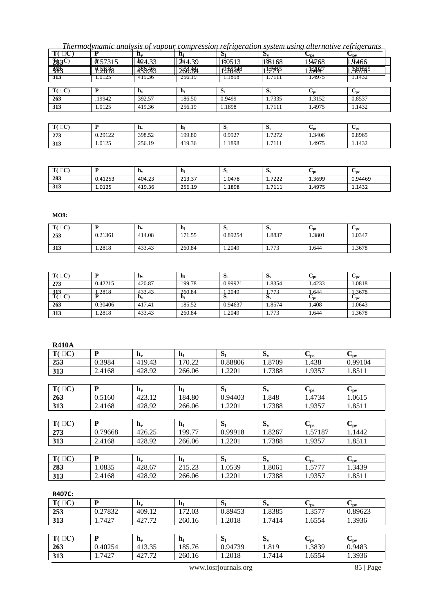*Thermodynamic analysis of vapour compression refrigeration system using alternative refrigerants*

|              |               |                           |                           | ື                   | IJν        | $\mathbf{v}_{\rm{DS}}$ | $\mathbf{v}_{\mathbf{n}\mathbf{v}}$ |
|--------------|---------------|---------------------------|---------------------------|---------------------|------------|------------------------|-------------------------------------|
| <b>283C)</b> | ₿<br>.57315   | 424.33                    | 244.39                    | 1 <sub>5</sub> 0513 | 1.8168     | 1.9768                 | <b>T#66</b>                         |
| 353          | <u>0.28B8</u> | 439.493                   | 266.84                    | 1920248             | $1 - 7415$ | $\frac{1}{6494}$       | .98178                              |
| 313          | .0125         | 419.36                    | 256.19                    | .1898               |            | .497                   | l.1432                              |
|              |               |                           |                           |                     |            |                        |                                     |
| $T(\Box C)$  |               | $\mathbf{n}_{\mathbf{v}}$ | $\mathbf{h}_{\mathsf{I}}$ | וכ                  | Dv.        | $v_{\rm ps}$           | $v_{pv}$                            |
| 263          | 19942         | 392.57                    | 186.50                    | 0.9499              | 1.7335     | 1.3152                 | 0.8537                              |
| 313          | .0125         | 419.36                    | 256.19                    | .1898               | 1.7111     | .4975                  | 1.1432                              |

| T(T)<br>◡ | D       | $\mathbf{n}_{\mathbf{v}}$ | n      | ЮI     | IJν            | $\mathbf{v}_{\rm{DS}}$ | $v_{\rm nv}$ |
|-----------|---------|---------------------------|--------|--------|----------------|------------------------|--------------|
| 273       | 0.29122 | 398.52                    | 199.80 | 0.9927 | 7272<br>ے رے ر | 1.3406                 | 0.8965       |
| 313       | 1.0125  | 256.19                    | 419.36 | 1.1898 | 7111<br>---    | 1.4975                 | 1.1432       |

| $T(\Box C)$<br>◡ |         | - Hv   | hı                 | P      | ιJν                   | $\mathbf{v}_{\rm{DS}}$ | $v_{\rm ov}$ |
|------------------|---------|--------|--------------------|--------|-----------------------|------------------------|--------------|
| 283              | 0.41253 | 404.23 | 21337<br>، د.د ۲ ک | 1.0478 | 1.7222                | 1.3699                 | 0.94469      |
| 313              | 1.0125  | 419.36 | 256.19             | 1.1898 | 7111<br><b>1.7111</b> | 1.4975                 | 1.1432       |

**MO9:**

| $T(\Box C)$ | D       | $\mathbf{n}_{\mathbf{v}}$ | h,     | ЮI      | <b>Dv</b>    | $\mathbf{v}_{\text{DS}}$ | $v_{\text{av}}$ |
|-------------|---------|---------------------------|--------|---------|--------------|--------------------------|-----------------|
| 253         | 0.21361 | 414.08                    | 171.55 | 0.89254 | 1.8837       | 1.3801                   | 1.0347          |
| 313         | 1.2818  | 433.43                    | 260.84 | 1.2049  | 772<br>1.773 | 1.644                    | 1.3678          |

| $T(\Box C)$             |         | $\mathbf{H}_{\mathbf{v}}$ | n,                      | Юj      | Dv.      | $v_{ps}$             | $\mathbf{v}_{\text{pv}}$ |
|-------------------------|---------|---------------------------|-------------------------|---------|----------|----------------------|--------------------------|
| 273                     | 0.42215 | 420.87                    | 199.78                  | 0.99921 | 1.8354   | 1.4233               | 1.0818                   |
|                         | 2818    | 133 13                    | 260.84                  | 2049    | 772      | 644                  | 3678                     |
| $\frac{313}{T(\Box C)}$ | .       | -----<br>$n_{v}$          | -----<br>$\mathbf{n}_1$ | .<br>ЮI | .<br>Dv. | $\cdots$<br>$v_{ps}$ | .<br>$v_{\rm ov}$        |
| 263                     | 0.30406 | 417.41                    | 185.52                  | 0.94637 | 1.8574   | .408                 | .0643                    |
| 313                     | .2818   | 433.43                    | 260.84                  | .2049   | 1.773    | .644                 | 1.3678                   |

**R410A**

| WIND T        |              |                           |                           |                |         |              |                      |
|---------------|--------------|---------------------------|---------------------------|----------------|---------|--------------|----------------------|
| $T(\Box C)$   | P            | $\mathbf{h}_{\mathbf{v}}$ | h <sub>l</sub>            | S <sub>1</sub> | $S_{v}$ | $C_{\rm ps}$ | $C_{\rm pv}$         |
| 253           | 0.3984       | 419.43                    | 170.22                    | 0.88806        | 1.8709  | 1.438        | 0.99104              |
| 313           | 2.4168       | 428.92                    | 266.06                    | 1.2201         | 1.7388  | 1.9357       | 1.8511               |
|               |              |                           |                           |                |         |              |                      |
| $T(\Box C)$   | $\mathbf{P}$ | $\mathbf{h}_{\mathbf{v}}$ | $\mathbf{h}_{\mathsf{I}}$ | S <sub>1</sub> | $S_{v}$ | $C_{\rm ps}$ | $C_{pv}$             |
| 263           | 0.5160       | 423.12                    | 184.80                    | 0.94403        | 1.848   | 1.4734       | 1.0615               |
| 313           | 2.4168       | 428.92                    | 266.06                    | 1.2201         | 1.7388  | 1.9357       | 1.8511               |
|               |              |                           |                           |                |         |              |                      |
| $T(\Box C)$   | P            | $h_v$                     | $\mathbf{h}_{\mathsf{I}}$ | S <sub>1</sub> | $S_{v}$ | $C_{\rm ps}$ | $C_{\rm pv}$         |
| 273           | 0.79668      | 426.25                    | 199.77                    | 0.99918        | 1.8267  | 1.57187      | 1.1442               |
| 313           | 2.4168       | 428.92                    | 266.06                    | 1.2201         | 1.7388  | 1.9357       | 1.8511               |
|               |              |                           |                           |                |         |              |                      |
| $T(\Box C)$   | ${\bf P}$    | $\mathbf{h}_{\mathbf{v}}$ | $\mathbf{h}_1$            | S <sub>1</sub> | $S_{v}$ | $C_{\rm ps}$ | $C_{pv}$             |
| 283           | 1.0835       | 428.67                    | 215.23                    | 1.0539         | 1.8061  | 1.5777       | 1.3439               |
| 313           | 2.4168       | 428.92                    | 266.06                    | 1.2201         | 1.7388  | 1.9357       | 1.8511               |
|               |              |                           |                           |                |         |              |                      |
| <b>R407C:</b> |              |                           |                           |                |         |              |                      |
| $T(\Box C)$   | P            | $\mathbf{h}_{\mathbf{v}}$ | $\mathbf{h}_{\mathbf{l}}$ | S <sub>1</sub> | $S_{v}$ | $C_{ps}$     | $C_{\rm pv}$         |
| 253           | 0.27832      | 409.12                    | 172.03                    | 0.89453        | 1.8385  | 1.3577       | 0.89623              |
| 313           | 1.7427       | 427.72                    | 260.16                    | 1.2018         | 1.7414  | 1.6554       | 1.3936               |
|               |              |                           |                           |                |         |              |                      |
| $T(\Box C)$   | P            | $\mathbf{h}_{\mathbf{v}}$ | $\mathbf{h}_{\mathsf{I}}$ | S <sub>1</sub> | $S_{v}$ | $C_{ps}$     | $C_{p\underline{v}}$ |
| 263           | 0.40254      | 413.35                    | 185.76                    | 0.94739        | 1.819   | 1.3839       | 0.9483               |

www.iosrjournals.org 85 | Page

**313** 1.7427 | 427.72 | 260.16 | 1.2018 | 1.7414 | 1.6554 | 1.3936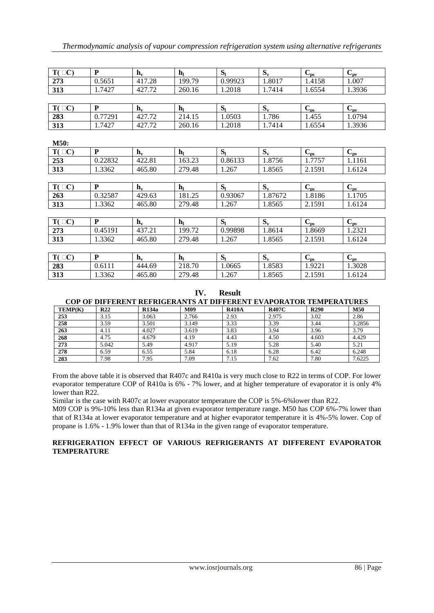| $T(\Box C)$ | P            | $\mathbf{h}_{\mathbf{v}}$ | $\mathbf{h}_{\mathsf{I}}$ | S <sub>1</sub> | $S_{v}$ | $C_{\rm ps}$         | $C_{pv}$ |
|-------------|--------------|---------------------------|---------------------------|----------------|---------|----------------------|----------|
| 273         | 0.5651       | 417.28                    | 199.79                    | 0.99923        | 1.8017  | 1.4158               | 1.007    |
| 313         | 1.7427       | 427.72                    | 260.16                    | 1.2018         | 1.7414  | 1.6554               | 1.3936   |
|             |              |                           |                           |                |         |                      |          |
| $T(\Box C)$ | P            | $\mathbf{h}_{\mathbf{v}}$ | h <sub>l</sub>            | S <sub>1</sub> | $S_{v}$ | $C_{\rm ps}$         | $C_{pv}$ |
| 283         | 0.77291      | 427.72                    | 214.15                    | 1.0503         | 1.786   | 1.455                | 1.0794   |
| 313         | 1.7427       | 427.72                    | 260.16                    | 1.2018         | 1.7414  | 1.6554               | 1.3936   |
|             |              |                           |                           |                |         |                      |          |
| <b>M50:</b> |              |                           |                           |                |         |                      |          |
| $T(\Box C)$ | P            | $\mathbf{h}_{\mathbf{v}}$ | $\mathbf{h}_{\mathsf{L}}$ | S <sub>1</sub> | $S_{v}$ | $C_{\rm ps}$         | $C_{pv}$ |
| 253         | 0.22832      | 422.81                    | 163.23                    | 0.86133        | 1.8756  | 1.7757               | 1.1161   |
| 313         | 1.3362       | 465.80                    | 279.48                    | 1.267          | 1.8565  | 2.1591               | 1.6124   |
|             |              |                           |                           |                |         |                      |          |
| $T(\Box C)$ | P            | $\mathbf{h}_{\mathbf{v}}$ | $h_1$                     | S <sub>1</sub> | $S_{v}$ | $C_{\underline{ps}}$ | $C_{pv}$ |
| 263         | 0.32587      | 429.63                    | 181.25                    | 0.93067        | 1.87672 | 1.8186               | 1.1705   |
| 313         | 1.3362       | 465.80                    | 279.48                    | 1.267          | 1.8565  | 2.1591               | 1.6124   |
|             |              |                           |                           |                |         |                      |          |
| $T(\Box C)$ | ${\bf P}$    | $\mathbf{h}_{\mathbf{v}}$ | $\mathbf{h}_{1}$          | S <sub>1</sub> | $S_{v}$ | $C_{\rm ps}$         | $C_{pv}$ |
| 273         | 0.45191      | 437.21                    | 199.72                    | 0.99898        | 1.8614  | 1.8669               | 1.2321   |
| 313         | 1.3362       | 465.80                    | 279.48                    | 1.267          | 1.8565  | 2.1591               | 1.6124   |
|             |              |                           |                           |                |         |                      |          |
| $T(\Box C)$ | $\mathbf{P}$ | $h_v$                     | $\mathbf{h}_{\mathbf{l}}$ | S <sub>1</sub> | $S_{v}$ | $C_{\rm ps}$         | $C_{pv}$ |
| 283         | 0.6111       | 444.69                    | 218.70                    | 1.0665         | 1.8583  | 1.9221               | 1.3028   |
| 313         | 1.3362       | 465.80                    | 279.48                    | 1.267          | 1.8565  | 2.1591               | 1.6124   |

**IV. Result COP OF DIFFERENT REFRIGERANTS AT DIFFERENT EVAPORATOR TEMPERATURES**

| TEMP(K) | R <sub>22</sub> | <b>R134a</b> | <b>M09</b> | <b>R410A</b> | <b>R407C</b> | <b>R290</b> | M50    |
|---------|-----------------|--------------|------------|--------------|--------------|-------------|--------|
| 253     | 3.15            | 3.063        | 2.766      | 2.93         | 2.975        | 3.02        | 2.86   |
| 258     | 3.59            | 3.501        | 3.149      | 3.33         | 3.39         | 3.44        | 3.2856 |
| 263     | 4.11            | 4.027        | 3.619      | 3.83         | 3.94         | 3.96        | 3.79   |
| 268     | 4.75            | 4.679        | 4.19       | 4.43         | 4.50         | 4.603       | 4.429  |
| 273     | 5.042           | 5.49         | 4.917      | 5.19         | 5.28         | 5.40        | 5.21   |
| 278     | 6.59            | 6.55         | 5.84       | 6.18         | 6.28         | 6.42        | 6.248  |
| 283     | 7.98            | 7.95         | 7.09       | 7.15         | 7.62         | 7.80        | 7.6225 |

From the above table it is observed that R407c and R410a is very much close to R22 in terms of COP. For lower evaporator temperature COP of R410a is 6% - 7% lower, and at higher temperature of evaporator it is only 4% lower than R22.

Similar is the case with R407c at lower evaporator temperature the COP is 5%-6%lower than R22.

M09 COP is 9%-10% less than R134a at given evaporator temperature range. M50 has COP 6%-7% lower than that of R134a at lower evaporator temperature and at higher evaporator temperature it is 4%-5% lower. Cop of propane is 1.6% - 1.9% lower than that of R134a in the given range of evaporator temperature.

# **REFRIGERATION EFFECT OF VARIOUS REFRIGERANTS AT DIFFERENT EVAPORATOR TEMPERATURE**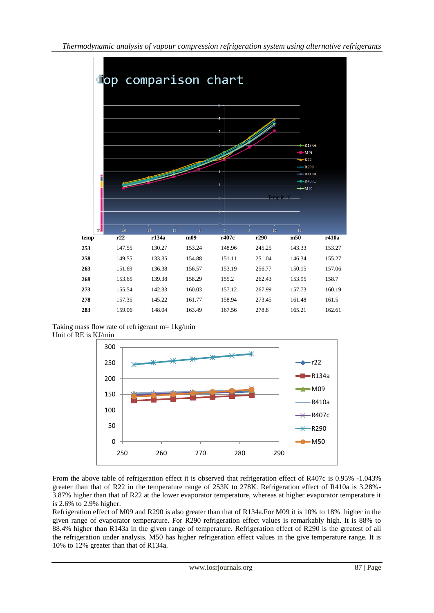

Taking mass flow rate of refrigerant m= 1kg/min Unit of RE is KJ/min



From the above table of refrigeration effect it is observed that refrigeration effect of R407c is 0.95% -1.043% greater than that of R22 in the temperature range of 253K to 278K. Refrigeration effect of R410a is 3.28%- 3.87% higher than that of R22 at the lower evaporator temperature, whereas at higher evaporator temperature it is 2.6% to 2.9% higher.

Refrigeration effect of M09 and R290 is also greater than that of R134a.For M09 it is 10% to 18% higher in the given range of evaporator temperature. For R290 refrigeration effect values is remarkably high. It is 88% to 88.4% higher than R143a in the given range of temperature. Refrigeration effect of R290 is the greatest of all the refrigeration under analysis. M50 has higher refrigeration effect values in the give temperature range. It is 10% to 12% greater than that of R134a.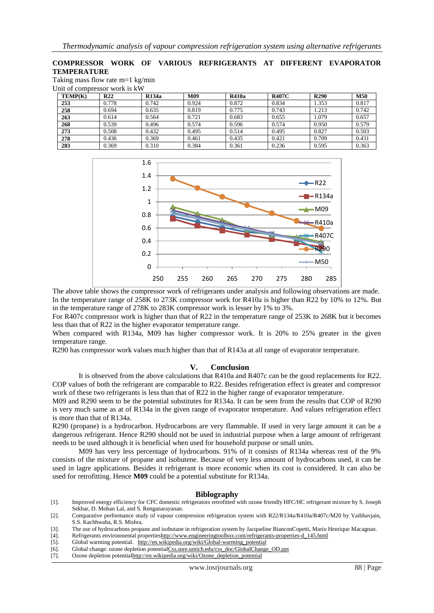## **COMPRESSOR WORK OF VARIOUS REFRIGERANTS AT DIFFERENT EVAPORATOR TEMPERATURE**

Taking mass flow rate m=1 kg/min  $U = \overline{U}$  of compressors would is  $1\overline{W}$ 

| <b>TEMP(K)</b> | R <sub>22</sub> | <b>R134a</b> | M09   | R410a | <b>R407C</b> | <b>R290</b> | <b>M50</b> |
|----------------|-----------------|--------------|-------|-------|--------------|-------------|------------|
| 253            | 0.778           | 0.742        | 0.924 | 0.872 | 0.834        | 1.353       | 0.817      |
| 258            | 0.694           | 0.635        | 0.819 | 0.775 | 0.743        | 1.213       | 0.742      |
| 263            | 0.614           | 0.564        | 0.721 | 0.683 | 0.655        | 1.079       | 0.657      |
| 268            | 0.539           | 0.496        | 0.574 | 0.596 | 0.574        | 0.950       | 0.579      |
| 273            | 0.508           | 0.432        | 0.495 | 0.514 | 0.495        | 0.827       | 0.503      |
| 278            | 0.436           | 0.369        | 0.461 | 0.435 | 0.421        | 0.709       | 0.431      |
| 283            | 0.369           | 0.310        | 0.384 | 0.361 | 0.236        | 0.595       | 0.363      |



The above table shows the compressor work of refrigerants under analysis and following observations are made. In the temperature range of 258K to 273K compressor work for R410a is higher than R22 by 10% to 12%. But in the temperature range of 278K to 283K compressor work is lesser by 1% to 3%.

For R407c compressor work is higher than that of R22 in the temperature range of 253K to 268K but it becomes less than that of R22 in the higher evaporator temperature range.

When compared with R134a, M09 has higher compressor work. It is 20% to 25% greater in the given temperature range.

R290 has compressor work values much higher than that of R143a at all range of evaporator temperature.

#### **V. Conclusion**

It is observed from the above calculations that R410a and R407c can be the good replacements for R22. COP values of both the refrigerant are comparable to R22. Besides refrigeration effect is greater and compressor work of these two refrigerants is less than that of R22 in the higher range of evaporator temperature.

M09 and R290 seem to be the potential substitutes for R134a. It can be seen from the results that COP of R290 is very much same as at of R134a in the given range of evaporator temperature. And values refrigeration effect is more than that of R134a.

R290 (propane) is a hydrocarbon. Hydrocarbons are very flammable. If used in very large amount it can be a dangerous refrigerant. Hence R290 should not be used in industrial purpose when a large amount of refrigerant needs to be used although it is beneficial when used for household purpose or small units.

M09 has very less percentage of hydrocarbons. 91% of it consists of R134a whereas rest of the 9% consists of the mixture of propane and isobutene. Because of very less amount of hydrocarbons used, it can be used in lagre applications. Besides it refrigerant is more economic when its cost is considered. It can also be used for retrofitting. Hence **M09** could be a potential substitute for R134a.

### **Biblography**

[1]. Improved energy efficiency for CFC domestic refrigerators retrofitted with ozone friendly HFC/HC refrigerant mixture by S. Joseph Sekhar, D. Mohan Lal, and S. Renganarayanan.

- [4]. Refrigerants environmental propertie[shttp://www.engineeringtoolbox.com/refrigerants-properties-d\\_145.html](http://www.engineeringtoolbox.com/refrigerants-properties-d_145.html)
- [5]. Global warming potential. [http://en.wikipedia.org/wiki/Global-warming\\_potential](http://en.wikipedia.org/wiki/Global-warming_potential)
- [6]. Global change: ozone depletion potentialCss.snre.umich.edu/css\_doc/GlobalChange\_OD.ppt
- [7]. Ozone depletion potenti[alhttp://en.wikipedia.org/wiki/Ozone\\_depletion\\_potential](http://en.wikipedia.org/wiki/Ozone_depletion_potential)

<sup>[2].</sup> Comparative performance study of vapour compression refrigeration system with R22/R134a/R410a/R407c/M20 by Vaibhavjain, S.S. Kachhwaha, R.S. Mishra.

<sup>[3].</sup> The use of hydrocarbons propane and isobutane in refrigeration system by Jacqueline BianconCopetti, Mario Henrique Macagnan.